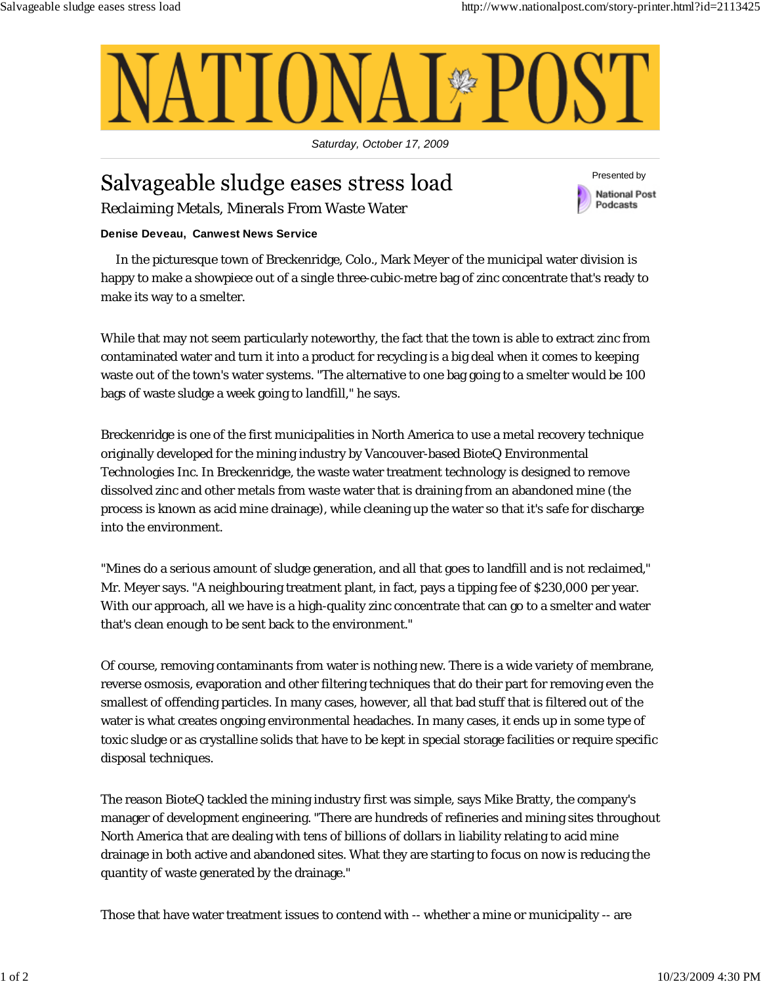

*Saturday, October 17, 2009*

## Salvageable sludge eases stress load Reclaiming Metals, Minerals From Waste Water

Presented by **National Post** Podcasts

## **Denise Deveau, Canwest News Service**

In the picturesque town of Breckenridge, Colo., Mark Meyer of the municipal water division is happy to make a showpiece out of a single three-cubic-metre bag of zinc concentrate that's ready to make its way to a smelter.

While that may not seem particularly noteworthy, the fact that the town is able to extract zinc from contaminated water and turn it into a product for recycling is a big deal when it comes to keeping waste out of the town's water systems. "The alternative to one bag going to a smelter would be 100 bags of waste sludge a week going to landfill," he says.

Breckenridge is one of the first municipalities in North America to use a metal recovery technique originally developed for the mining industry by Vancouver-based BioteQ Environmental Technologies Inc. In Breckenridge, the waste water treatment technology is designed to remove dissolved zinc and other metals from waste water that is draining from an abandoned mine (the process is known as acid mine drainage), while cleaning up the water so that it's safe for discharge into the environment.

"Mines do a serious amount of sludge generation, and all that goes to landfill and is not reclaimed," Mr. Meyer says. "A neighbouring treatment plant, in fact, pays a tipping fee of \$230,000 per year. With our approach, all we have is a high-quality zinc concentrate that can go to a smelter and water that's clean enough to be sent back to the environment."

Of course, removing contaminants from water is nothing new. There is a wide variety of membrane, reverse osmosis, evaporation and other filtering techniques that do their part for removing even the smallest of offending particles. In many cases, however, all that bad stuff that is filtered out of the water is what creates ongoing environmental headaches. In many cases, it ends up in some type of toxic sludge or as crystalline solids that have to be kept in special storage facilities or require specific disposal techniques.

The reason BioteQ tackled the mining industry first was simple, says Mike Bratty, the company's manager of development engineering. "There are hundreds of refineries and mining sites throughout North America that are dealing with tens of billions of dollars in liability relating to acid mine drainage in both active and abandoned sites. What they are starting to focus on now is reducing the quantity of waste generated by the drainage."

Those that have water treatment issues to contend with -- whether a mine or municipality -- are